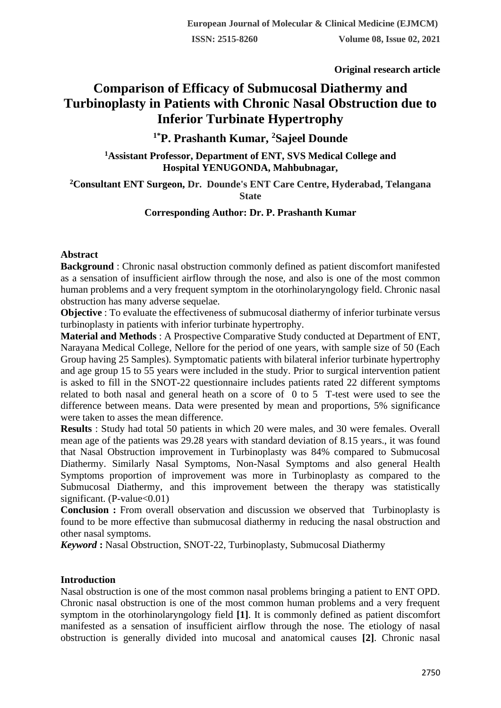**Original research article** 

# **Comparison of Efficacy of Submucosal Diathermy and Turbinoplasty in Patients with Chronic Nasal Obstruction due to Inferior Turbinate Hypertrophy**

# **1\*P. Prashanth Kumar, <sup>2</sup>Sajeel Dounde**

#### **<sup>1</sup>Assistant Professor, Department of ENT, SVS Medical College and Hospital YENUGONDA, Mahbubnagar,**

**<sup>2</sup>Consultant ENT Surgeon, [Dr. Dounde's ENT Care Centre,](https://www.lybrate.com/hyderabad/clinic/dr-dounde-s-ent-care-center-31-a-284c?lpt=PS-PPV) Hyderabad, Telangana State**

### **Corresponding Author: Dr. P. Prashanth Kumar**

#### **Abstract**

**Background** : Chronic nasal obstruction commonly defined as patient discomfort manifested as a sensation of insufficient airflow through the nose, and also is one of the most common human problems and a very frequent symptom in the otorhinolaryngology field. Chronic nasal obstruction has many adverse sequelae.

**Objective** : To evaluate the effectiveness of submucosal diathermy of inferior turbinate versus turbinoplasty in patients with inferior turbinate hypertrophy.

**Material and Methods** : A Prospective Comparative Study conducted at Department of ENT, Narayana Medical College, Nellore for the period of one years, with sample size of 50 (Each Group having 25 Samples). Symptomatic patients with bilateral inferior turbinate hypertrophy and age group 15 to 55 years were included in the study. Prior to surgical intervention patient is asked to fill in the SNOT-22 questionnaire includes patients rated 22 different symptoms related to both nasal and general heath on a score of 0 to 5 T-test were used to see the difference between means. Data were presented by mean and proportions, 5% significance were taken to asses the mean difference.

**Results** : Study had total 50 patients in which 20 were males, and 30 were females. Overall mean age of the patients was 29.28 years with standard deviation of 8.15 years., it was found that Nasal Obstruction improvement in Turbinoplasty was 84% compared to Submucosal Diathermy. Similarly Nasal Symptoms, Non-Nasal Symptoms and also general Health Symptoms proportion of improvement was more in Turbinoplasty as compared to the Submucosal Diathermy, and this improvement between the therapy was statistically significant. (P-value $< 0.01$ )

**Conclusion :** From overall observation and discussion we observed that Turbinoplasty is found to be more effective than submucosal diathermy in reducing the nasal obstruction and other nasal symptoms.

*Keyword* **:** Nasal Obstruction, SNOT-22, Turbinoplasty, Submucosal Diathermy

# **Introduction**

Nasal obstruction is one of the most common nasal problems bringing a patient to ENT OPD. Chronic nasal obstruction is one of the most common human problems and a very frequent symptom in the otorhinolaryngology field **[1]**. It is commonly defined as patient discomfort manifested as a sensation of insufficient airflow through the nose. The etiology of nasal obstruction is generally divided into mucosal and anatomical causes **[2]**. Chronic nasal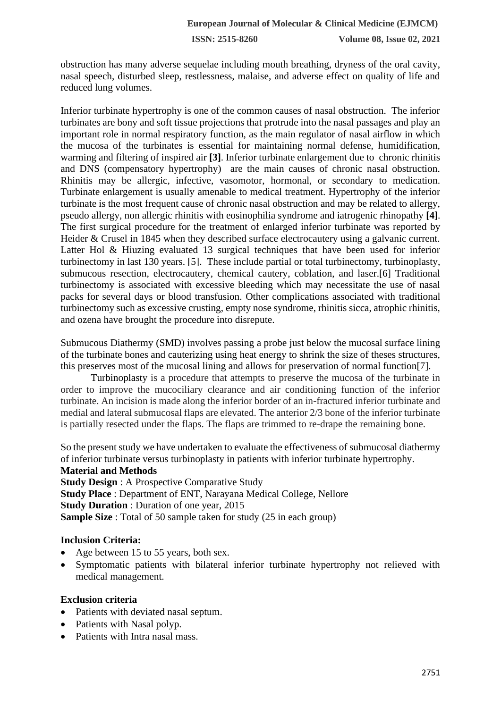obstruction has many adverse sequelae including mouth breathing, dryness of the oral cavity, nasal speech, disturbed sleep, restlessness, malaise, and adverse effect on quality of life and reduced lung volumes.

Inferior turbinate hypertrophy is one of the common causes of nasal obstruction. The inferior turbinates are bony and soft tissue projections that protrude into the nasal passages and play an important role in normal respiratory function, as the main regulator of nasal airflow in which the mucosa of the turbinates is essential for maintaining normal defense, humidification, warming and filtering of inspired air **[3]**. Inferior turbinate enlargement due to chronic rhinitis and DNS (compensatory hypertrophy) are the main causes of chronic nasal obstruction. Rhinitis may be allergic, infective, vasomotor, hormonal, or secondary to medication. Turbinate enlargement is usually amenable to medical treatment. Hypertrophy of the inferior turbinate is the most frequent cause of chronic nasal obstruction and may be related to allergy, pseudo allergy, non allergic rhinitis with eosinophilia syndrome and iatrogenic rhinopathy **[4]**. The first surgical procedure for the treatment of enlarged inferior turbinate was reported by Heider & Crusel in 1845 when they described surface electrocautery using a galvanic current. Latter Hol & Hiuzing evaluated 13 surgical techniques that have been used for inferior turbinectomy in last 130 years. [5]. These include partial or total turbinectomy, turbinoplasty, submucous resection, electrocautery, chemical cautery, coblation, and laser.[6] Traditional turbinectomy is associated with excessive bleeding which may necessitate the use of nasal packs for several days or blood transfusion. Other complications associated with traditional turbinectomy such as excessive crusting, empty nose syndrome, rhinitis sicca, atrophic rhinitis, and ozena have brought the procedure into disrepute.

Submucous Diathermy (SMD) involves passing a probe just below the mucosal surface lining of the turbinate bones and cauterizing using heat energy to shrink the size of theses structures, this preserves most of the mucosal lining and allows for preservation of normal function[7].

Turbinoplasty is a procedure that attempts to preserve the mucosa of the turbinate in order to improve the mucociliary clearance and air conditioning function of the inferior turbinate. An incision is made along the inferior border of an in-fractured inferior turbinate and medial and lateral submucosal flaps are elevated. The anterior 2/3 bone of the inferior turbinate is partially resected under the flaps. The flaps are trimmed to re-drape the remaining bone.

So the present study we have undertaken to evaluate the effectiveness of submucosal diathermy of inferior turbinate versus turbinoplasty in patients with inferior turbinate hypertrophy.

**Material and Methods Study Design** : A Prospective Comparative Study **Study Place** : Department of ENT, Narayana Medical College, Nellore **Study Duration** : Duration of one year, 2015 **Sample Size**: Total of 50 sample taken for study (25 in each group)

# **Inclusion Criteria:**

- Age between 15 to 55 years, both sex.
- Symptomatic patients with bilateral inferior turbinate hypertrophy not relieved with medical management.

#### **Exclusion criteria**

- Patients with deviated nasal septum.
- Patients with Nasal polyp.
- Patients with Intra nasal mass.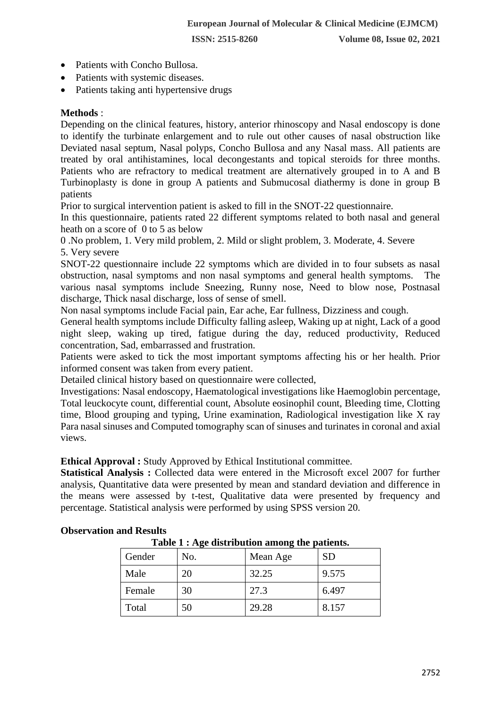- Patients with Concho Bullosa.
- Patients with systemic diseases.
- Patients taking anti hypertensive drugs

# **Methods** :

Depending on the clinical features, history, anterior rhinoscopy and Nasal endoscopy is done to identify the turbinate enlargement and to rule out other causes of nasal obstruction like Deviated nasal septum, Nasal polyps, Concho Bullosa and any Nasal mass. All patients are treated by oral antihistamines, local decongestants and topical steroids for three months. Patients who are refractory to medical treatment are alternatively grouped in to A and B Turbinoplasty is done in group A patients and Submucosal diathermy is done in group B patients

Prior to surgical intervention patient is asked to fill in the SNOT-22 questionnaire.

In this questionnaire, patients rated 22 different symptoms related to both nasal and general heath on a score of 0 to 5 as below

0 .No problem, 1. Very mild problem, 2. Mild or slight problem, 3. Moderate, 4. Severe 5. Very severe

SNOT-22 questionnaire include 22 symptoms which are divided in to four subsets as nasal obstruction, nasal symptoms and non nasal symptoms and general health symptoms. The various nasal symptoms include Sneezing, Runny nose, Need to blow nose, Postnasal discharge, Thick nasal discharge, loss of sense of smell.

Non nasal symptoms include Facial pain, Ear ache, Ear fullness, Dizziness and cough.

General health symptoms include Difficulty falling asleep, Waking up at night, Lack of a good night sleep, waking up tired, fatigue during the day, reduced productivity, Reduced concentration, Sad, embarrassed and frustration.

Patients were asked to tick the most important symptoms affecting his or her health. Prior informed consent was taken from every patient.

Detailed clinical history based on questionnaire were collected,

Investigations: Nasal endoscopy, Haematological investigations like Haemoglobin percentage, Total leuckocyte count, differential count, Absolute eosinophil count, Bleeding time, Clotting time, Blood grouping and typing, Urine examination, Radiological investigation like X ray Para nasal sinuses and Computed tomography scan of sinuses and turinates in coronal and axial views.

**Ethical Approval :** Study Approved by Ethical Institutional committee.

**Statistical Analysis :** Collected data were entered in the Microsoft excel 2007 for further analysis, Quantitative data were presented by mean and standard deviation and difference in the means were assessed by t-test, Qualitative data were presented by frequency and percentage. Statistical analysis were performed by using SPSS version 20.

| Table 1 : Age distribution among the patients. |     |          |           |  |  |  |  |
|------------------------------------------------|-----|----------|-----------|--|--|--|--|
| Gender                                         | No. | Mean Age | <b>SD</b> |  |  |  |  |
| Male                                           | 20  | 32.25    | 9.575     |  |  |  |  |
| Female                                         | 30  | 27.3     | 6.497     |  |  |  |  |
| Total                                          | 50  | 29.28    | 8.157     |  |  |  |  |

#### **Observation and Results**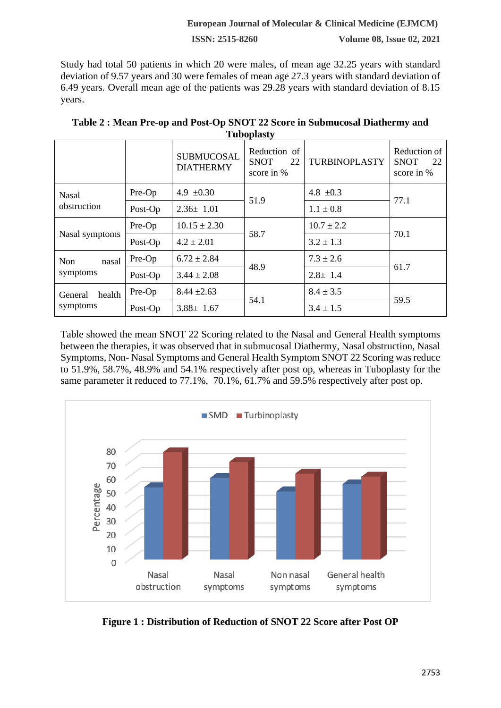#### **European Journal of Molecular & Clinical Medicine (EJMCM)**

**ISSN: 2515-8260 Volume 08, Issue 02, 2021**

Study had total 50 patients in which 20 were males, of mean age 32.25 years with standard deviation of 9.57 years and 30 were females of mean age 27.3 years with standard deviation of 6.49 years. Overall mean age of the patients was 29.28 years with standard deviation of 8.15 years.

| <b>Tupopiasty</b>   |         |                                       |                                                 |                |                                                 |  |  |
|---------------------|---------|---------------------------------------|-------------------------------------------------|----------------|-------------------------------------------------|--|--|
|                     |         | <b>SUBMUCOSAL</b><br><b>DIATHERMY</b> | Reduction of<br><b>SNOT</b><br>22<br>score in % | TURBINOPLASTY  | Reduction of<br><b>SNOT</b><br>22<br>score in % |  |  |
| <b>Nasal</b>        | Pre-Op  | 4.9 $\pm 0.30$                        | 51.9                                            | 4.8 $\pm 0.3$  | 77.1                                            |  |  |
| obstruction         | Post-Op | $2.36 \pm 1.01$                       |                                                 | $1.1 \pm 0.8$  |                                                 |  |  |
|                     | Pre-Op  | $10.15 \pm 2.30$                      | 58.7                                            | $10.7 \pm 2.2$ | 70.1                                            |  |  |
| Nasal symptoms      | Post-Op | $4.2 \pm 2.01$                        |                                                 | $3.2 \pm 1.3$  |                                                 |  |  |
| <b>Non</b><br>nasal | Pre-Op  | $6.72 \pm 2.84$                       | 48.9                                            | $7.3 \pm 2.6$  | 61.7                                            |  |  |
| symptoms            | Post-Op | $3.44 \pm 2.08$                       |                                                 | $2.8 \pm 1.4$  |                                                 |  |  |
| health<br>General   | Pre-Op  | $8.44 \pm 2.63$                       | 54.1                                            | $8.4 \pm 3.5$  | 59.5                                            |  |  |
| symptoms            | Post-Op | $3.88 \pm 1.67$                       |                                                 | $3.4 \pm 1.5$  |                                                 |  |  |

**Table 2 : Mean Pre-op and Post-Op SNOT 22 Score in Submucosal Diathermy and Tuboplasty**

Table showed the mean SNOT 22 Scoring related to the Nasal and General Health symptoms between the therapies, it was observed that in submucosal Diathermy, Nasal obstruction, Nasal Symptoms, Non- Nasal Symptoms and General Health Symptom SNOT 22 Scoring was reduce to 51.9%, 58.7%, 48.9% and 54.1% respectively after post op, whereas in Tuboplasty for the same parameter it reduced to 77.1%, 70.1%, 61.7% and 59.5% respectively after post op.



**Figure 1 : Distribution of Reduction of SNOT 22 Score after Post OP**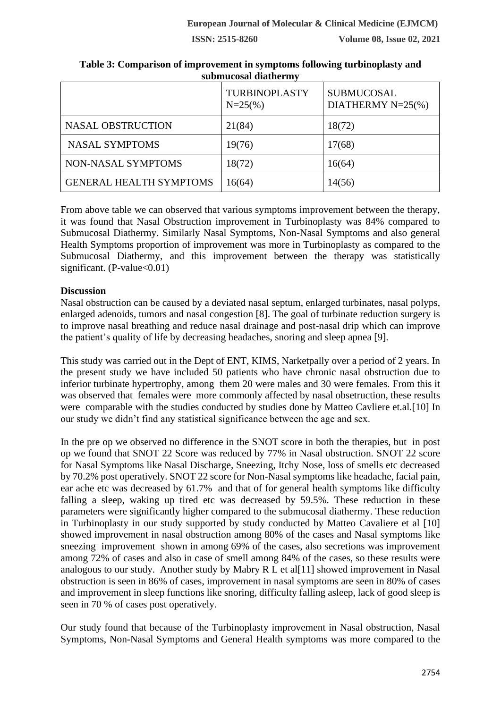**ISSN: 2515-8260 Volume 08, Issue 02, 2021**

|                                | <b>TURBINOPLASTY</b><br>$N = 25\%$ | <b>SUBMUCOSAL</b><br>DIATHERMY $N=25$ (%) |
|--------------------------------|------------------------------------|-------------------------------------------|
| <b>NASAL OBSTRUCTION</b>       | 21(84)                             | 18(72)                                    |
| <b>NASAL SYMPTOMS</b>          | 19(76)                             | 17(68)                                    |
| NON-NASAL SYMPTOMS             | 18(72)                             | 16(64)                                    |
| <b>GENERAL HEALTH SYMPTOMS</b> | 16(64)                             | 14(56)                                    |

**Table 3: Comparison of improvement in symptoms following turbinoplasty and submucosal diathermy**

From above table we can observed that various symptoms improvement between the therapy, it was found that Nasal Obstruction improvement in Turbinoplasty was 84% compared to Submucosal Diathermy. Similarly Nasal Symptoms, Non-Nasal Symptoms and also general Health Symptoms proportion of improvement was more in Turbinoplasty as compared to the Submucosal Diathermy, and this improvement between the therapy was statistically significant. (P-value $< 0.01$ )

# **Discussion**

Nasal obstruction can be caused by a deviated nasal septum, enlarged turbinates, nasal polyps, enlarged adenoids, tumors and nasal congestion [8]. The goal of turbinate reduction surgery is to improve nasal breathing and reduce nasal drainage and post-nasal drip which can improve the patient's quality of life by decreasing headaches, snoring and sleep apnea [9].

This study was carried out in the Dept of ENT, KIMS, Narketpally over a period of 2 years. In the present study we have included 50 patients who have chronic nasal obstruction due to inferior turbinate hypertrophy, among them 20 were males and 30 were females. From this it was observed that females were more commonly affected by nasal obsetruction, these results were comparable with the studies conducted by studies done by Matteo Cavliere et.al.[10] In our study we didn't find any statistical significance between the age and sex.

In the pre op we observed no difference in the SNOT score in both the therapies, but in post op we found that SNOT 22 Score was reduced by 77% in Nasal obstruction. SNOT 22 score for Nasal Symptoms like Nasal Discharge, Sneezing, Itchy Nose, loss of smells etc decreased by 70.2% post operatively. SNOT 22 score for Non-Nasal symptoms like headache, facial pain, ear ache etc was decreased by 61.7% and that of for general health symptoms like difficulty falling a sleep, waking up tired etc was decreased by 59.5%. These reduction in these parameters were significantly higher compared to the submucosal diathermy. These reduction in Turbinoplasty in our study supported by study conducted by Matteo Cavaliere et al [10] showed improvement in nasal obstruction among 80% of the cases and Nasal symptoms like sneezing improvement shown in among 69% of the cases, also secretions was improvement among 72% of cases and also in case of smell among 84% of the cases, so these results were analogous to our study. Another study by Mabry R L et al[11] showed improvement in Nasal obstruction is seen in 86% of cases, improvement in nasal symptoms are seen in 80% of cases and improvement in sleep functions like snoring, difficulty falling asleep, lack of good sleep is seen in 70 % of cases post operatively.

Our study found that because of the Turbinoplasty improvement in Nasal obstruction, Nasal Symptoms, Non-Nasal Symptoms and General Health symptoms was more compared to the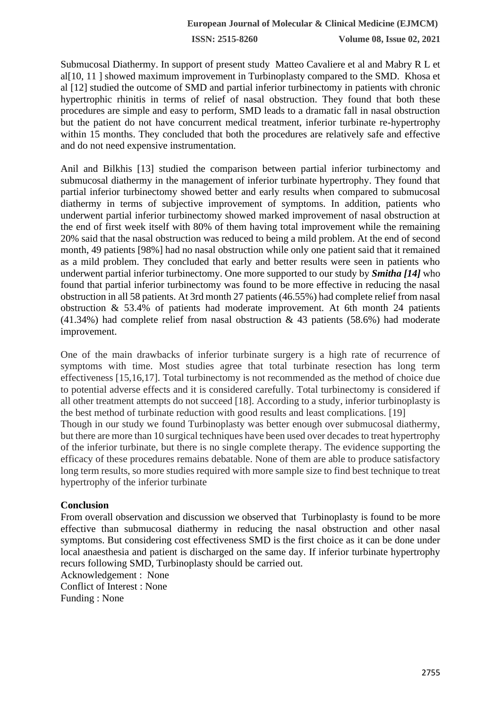**ISSN: 2515-8260 Volume 08, Issue 02, 2021**

Submucosal Diathermy. In support of present study Matteo Cavaliere et al and Mabry R L et al[10, 11 ] showed maximum improvement in Turbinoplasty compared to the SMD. Khosa et al [12] studied the outcome of SMD and partial inferior turbinectomy in patients with chronic hypertrophic rhinitis in terms of relief of nasal obstruction. They found that both these procedures are simple and easy to perform, SMD leads to a dramatic fall in nasal obstruction but the patient do not have concurrent medical treatment, inferior turbinate re-hypertrophy within 15 months. They concluded that both the procedures are relatively safe and effective and do not need expensive instrumentation.

Anil and Bilkhis [13] studied the comparison between partial inferior turbinectomy and submucosal diathermy in the management of inferior turbinate hypertrophy. They found that partial inferior turbinectomy showed better and early results when compared to submucosal diathermy in terms of subjective improvement of symptoms. In addition, patients who underwent partial inferior turbinectomy showed marked improvement of nasal obstruction at the end of first week itself with 80% of them having total improvement while the remaining 20% said that the nasal obstruction was reduced to being a mild problem. At the end of second month, 49 patients [98%] had no nasal obstruction while only one patient said that it remained as a mild problem. They concluded that early and better results were seen in patients who underwent partial inferior turbinectomy. One more supported to our study by *Smitha [14]* who found that partial inferior turbinectomy was found to be more effective in reducing the nasal obstruction in all 58 patients. At 3rd month 27 patients (46.55%) had complete relief from nasal obstruction & 53.4% of patients had moderate improvement. At 6th month 24 patients  $(41.34%)$  had complete relief from nasal obstruction & 43 patients (58.6%) had moderate improvement.

One of the main drawbacks of inferior turbinate surgery is a high rate of recurrence of symptoms with time. Most studies agree that total turbinate resection has long term effectiveness [15,16,17]. Total turbinectomy is not recommended as the method of choice due to potential adverse effects and it is considered carefully. Total turbinectomy is considered if all other treatment attempts do not succeed [18]. According to a study, inferior turbinoplasty is the best method of turbinate reduction with good results and least complications. [19] Though in our study we found Turbinoplasty was better enough over submucosal diathermy, but there are more than 10 surgical techniques have been used over decades to treat hypertrophy of the inferior turbinate, but there is no single complete therapy. The evidence supporting the efficacy of these procedures remains debatable. None of them are able to produce satisfactory long term results, so more studies required with more sample size to find best technique to treat hypertrophy of the inferior turbinate

#### **Conclusion**

From overall observation and discussion we observed that Turbinoplasty is found to be more effective than submucosal diathermy in reducing the nasal obstruction and other nasal symptoms. But considering cost effectiveness SMD is the first choice as it can be done under local anaesthesia and patient is discharged on the same day. If inferior turbinate hypertrophy recurs following SMD, Turbinoplasty should be carried out.

Acknowledgement : None Conflict of Interest : None Funding : None